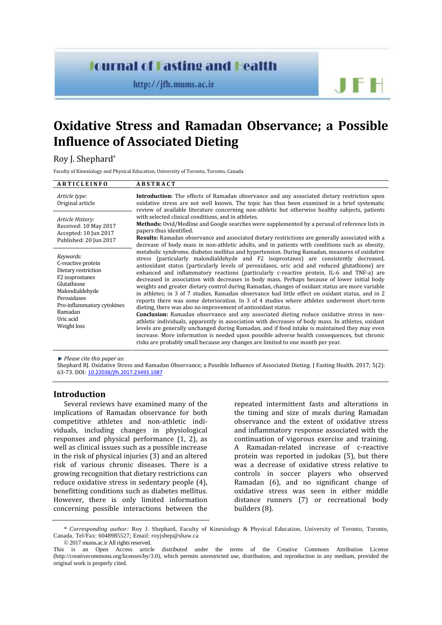# **Journal of Fasting and Fealth**

http://jfh.mums.ac.ir

# **Oxidative Stress and Ramadan Observance; a Possible Influence of Associated Dieting**

Roy J. Shephard\*

Faculty of Kinesiology and Physical Education, University of Toronto, Toronto, Canada

| <b>ARTICLEINFO</b>                                                                                                                                                                              | <b>ABSTRACT</b>                                                                                                                                                                                                                                                                                                                                                                                                                                                                                                                                                                                                                                                                                                                                                                                                                                                                                                                                                                                                                                                                                                                                                                                                                                                                                                                                         |
|-------------------------------------------------------------------------------------------------------------------------------------------------------------------------------------------------|---------------------------------------------------------------------------------------------------------------------------------------------------------------------------------------------------------------------------------------------------------------------------------------------------------------------------------------------------------------------------------------------------------------------------------------------------------------------------------------------------------------------------------------------------------------------------------------------------------------------------------------------------------------------------------------------------------------------------------------------------------------------------------------------------------------------------------------------------------------------------------------------------------------------------------------------------------------------------------------------------------------------------------------------------------------------------------------------------------------------------------------------------------------------------------------------------------------------------------------------------------------------------------------------------------------------------------------------------------|
| Article type:<br>Original article                                                                                                                                                               | Introduction: The effects of Ramadan observance and any associated dietary restriction upon<br>oxidative stress are not well known. The topic has thus been examined in a brief systematic<br>review of available literature concerning non-athletic but otherwise healthy subjects, patients                                                                                                                                                                                                                                                                                                                                                                                                                                                                                                                                                                                                                                                                                                                                                                                                                                                                                                                                                                                                                                                           |
| Article History:<br>Received: 10 May 2017<br>Accepted: 10 Jun 2017<br>Published: 20 Jun 2017                                                                                                    | with selected clinical conditions, and in athletes.<br>Methods: Ovid/Medline and Google searches were supplemented by a perusal of reference lists in<br>papers thus identified.<br><b>Results:</b> Ramadan observance and associated dietary restrictions are generally associated with a<br>decrease of body mass in non-athletic adults, and in patients with conditions such as obesity,                                                                                                                                                                                                                                                                                                                                                                                                                                                                                                                                                                                                                                                                                                                                                                                                                                                                                                                                                            |
| Keywords:<br>C-reactive protein<br>Dietary restriction<br>F2 isoprostanes<br>Glutathione<br>Malondialdehyde<br>Peroxidases<br>Pro-inflammatory cytokines<br>Ramadan<br>Uric acid<br>Weight loss | metabolic syndrome, diabetes mellitus and hypertension. During Ramadan, measures of oxidative<br>stress (particularly malondialdehyde and F2 isoprostanes) are consistently decreased,<br>antioxidant status (particularly levels of peroxidases, uric acid and reduced glutathione) are<br>enhanced and inflammatory reactions (particularly c-reactive protein, IL-6 and TNF-a) are<br>decreased in association with decreases in body mass. Perhaps because of lower initial body<br>weights and greater dietary control during Ramadan, changes of oxidant status are more variable<br>in athletes; in 3 of 7 studies, Ramadan observance had little effect on oxidant status, and in 2<br>reports there was some deterioration. In 3 of 4 studies where athletes underwent short-term<br>dieting, there was also no improvement of antioxidant status.<br><b>Conclusion:</b> Ramadan observance and any associated dieting reduce oxidative stress in non-<br>athletic individuals, apparently in association with decreases of body mass. In athletes, oxidant<br>levels are generally unchanged during Ramadan, and if food intake is maintained they may even<br>increase. More information is needed upon possible adverse health consequences, but chronic<br>risks are probably small because any changes are limited to one month per year. |

*Please cite this paper as*:

Shephard RJ. Oxidative Stress and Ramadan Observance; a Possible Influence of Associated Dieting. J Fasting Health. 2017; 5(2): 63-73. DOI: 10.22038/jfh.2017.23493.1087

# **Introduction**

Several reviews have examined many of the implications of Ramadan observance for both competitive athletes and non-athletic indi viduals, including changes in physiological responses and physical performance (1, 2), as well as clinical issues such as a possible increase in the risk of physical injuries (3) and an altered risk of various chronic diseases. There is a growing recognition that dietary restrictions can reduce oxidative stress in sedentary people (4), benefitting conditions such as diabetes mellitus. However, there is only limited information concerning possible interactions between the repeated intermittent fasts and alterations in the timing and size of meals during Ramadan observance and the extent of oxidative stress and inflammatory response associated with the continuation of vigorous exercise and training. A Ramadan-related increase of c-reactive protein was reported in judokas (5), but there was a decrease of oxidative stress relative to controls in soccer players who observed Ramadan (6), and no significant change of oxidative stress was seen in either middle distance runners (7) or recreational body builders (8).

**JFF** 

<sup>\*</sup> *Corresponding author:* Roy J. Shephard, Faculty of Kinesiology & Physical Education, University of Toronto, Toronto, Canada. Tel/Fax: 6048985527; Email: royjshep@shaw.ca

<sup>© 2017</sup> mums.ac.ir All rights reserved.

This is an Open Access article distributed under the terms of the Creative Commons Attribution License (http://creativecommons.org/licenses/by/3.0), which permits unrestricted use, distribution, and reproduction in any medium, provided the original work is properly cited.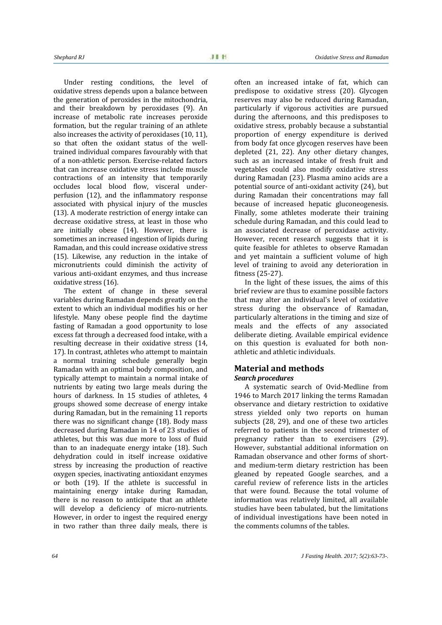Under resting conditions, the level of oxidative stress depends upon a balance between the generation of peroxides in the mitochondria, and their breakdown by peroxidases (9). An increase of metabolic rate increases peroxide formation, but the regular training of an athlete also increases the activity of peroxidases (10, 11), so that often the oxidant status of the well trained individual compares favourably with that of a non-athletic person. Exercise-related factors that can increase oxidative stress include muscle contractions of an intensity that temporarily occludes local blood flow, visceral under perfusion (12), and the inflammatory response associated with physical injury of the muscles (13). A moderate restriction of energy intake can decrease oxidative stress, at least in those who are initially obese (14). However, there is sometimes an increased ingestion of lipids during Ramadan, and this could increase oxidative stress (15). Likewise, any reduction in the intake of micronutrients could diminish the activity of various anti-oxidant enzymes, and thus increase oxidative stress (16).

The extent of change in these several variables during Ramadan depends greatly on the extent to which an individual modifies his or her lifestyle. Many obese people find the daytime fasting of Ramadan a good opportunity to lose excess fat through a decreased food intake, with a resulting decrease in their oxidative stress (14, 17). In contrast, athletes who attempt to maintain a normal training schedule generally begin Ramadan with an optimal body composition, and typically attempt to maintain a normal intake of nutrients by eating two large meals during the hours of darkness. In 15 studies of athletes, 4 groups showed some decrease of energy intake during Ramadan, but in the remaining 11 reports there was no significant change (18). Body mass decreased during Ramadan in 14 of 23 studies of athletes, but this was due more to loss of fluid than to an inadequate energy intake (18). Such dehydration could in itself increase oxidative stress by increasing the production of reactive oxygen species, inactivating antioxidant enzymes or both (19). If the athlete is successful in maintaining energy intake during Ramadan, there is no reason to anticipate that an athlete will develop a deficiency of micro-nutrients. However, in order to ingest the required energy in two rather than three daily meals, there is

often an increased intake of fat, which can predispose to oxidative stress (20). Glycogen reserves may also be reduced during Ramadan, particularly if vigorous activities are pursued during the afternoons, and this predisposes to oxidative stress, probably because a substantial proportion of energy expenditure is derived from body fat once glycogen reserves have been depleted (21, 22). Any other dietary changes, such as an increased intake of fresh fruit and vegetables could also modify oxidative stress during Ramadan (23). Plasma amino acids are a potential source of anti-oxidant activity (24), but during Ramadan their concentrations may fall because of increased hepatic gluconeogenesis. Finally, some athletes moderate their training schedule during Ramadan, and this could lead to an associated decrease of peroxidase activity. However, recent research suggests that it is quite feasible for athletes to observe Ramadan and yet maintain a sufficient volume of high level of training to avoid any deterioration in fitness (25-27).

In the light of these issues, the aims of this brief review are thus to examine possible factors that may alter an individual's level of oxidative stress during the observance of Ramadan, particularly alterations in the timing and size of meals and the effects of any associated deliberate dieting. Available empirical evidence on this question is evaluated for both non athletic and athletic individuals.

# **Material and methods**

# *Search procedures*

A systematic search of Ovid-Medline from 1946 to March 2017 linking the terms Ramadan observance and dietary restriction to oxidative stress yielded only two reports on human subjects (28, 29), and one of these two articles referred to patients in the second trimester of pregnancy rather than to exercisers (29). However, substantial additional information on Ramadan observance and other forms of short and medium-term dietary restriction has been gleaned by repeated Google searches, and a careful review of reference lists in the articles that were found. Because the total volume of information was relatively limited, all available studies have been tabulated, but the limitations of individual investigations have been noted in the comments columns of the tables.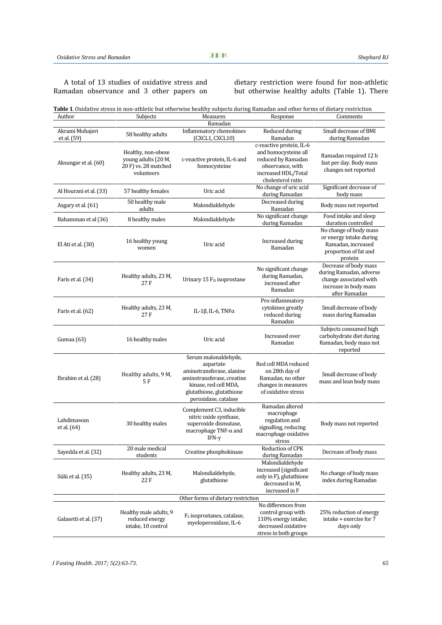# A total of 13 studies of oxidative stress and Ramadan observance and 3 other papers on

dietary restriction were found for non-athletic but otherwise healthy adults (Table 1). There

| Table 1. Oxidative stress in non-athletic but otherwise healthy subjects during Ramadan and other forms of dietary restriction |
|--------------------------------------------------------------------------------------------------------------------------------|
|                                                                                                                                |

| Author                    | Subjects                                                                        | Measures                                                                                                                                                                  | Response                                                                                                                               | Comments                                                                                                             |
|---------------------------|---------------------------------------------------------------------------------|---------------------------------------------------------------------------------------------------------------------------------------------------------------------------|----------------------------------------------------------------------------------------------------------------------------------------|----------------------------------------------------------------------------------------------------------------------|
|                           |                                                                                 | Ramadan                                                                                                                                                                   |                                                                                                                                        |                                                                                                                      |
| Akrami Mohajeri           | 58 healthy adults                                                               | Inflammatory chemokines                                                                                                                                                   | Reduced during                                                                                                                         | Small decrease of BMI                                                                                                |
| et al. (59)               |                                                                                 | (CXCL1, CXCL10)                                                                                                                                                           | Ramadan                                                                                                                                | during Ramadan                                                                                                       |
| Aksungar et al. (60)      | Healthy, non-obese<br>young adults (20 M,<br>20 F) vs. 28 matched<br>volunteers | c-reactive protein, IL-6 and<br>homocysteine                                                                                                                              | c-reactive protein, IL-6<br>and homocysteine all<br>reduced by Ramadan<br>observance, with<br>increased HDL/Total<br>cholesterol ratio | Ramadan required 12 h<br>fast per day. Body mass<br>changes not reported                                             |
| Al Hourani et al. (33)    | 57 healthy females                                                              | Uric acid                                                                                                                                                                 | No change of uric acid<br>during Ramadan                                                                                               | Significant decrease of<br>body mass                                                                                 |
| Asgary et al. (61)        | 50 healthy male<br>adults                                                       | Malondialdehyde                                                                                                                                                           | Decreased during<br>Ramadan                                                                                                            | Body mass not reported                                                                                               |
| Bahamman et al (36)       | 8 healthy males                                                                 | Malondialdehyde                                                                                                                                                           | No significant change<br>during Ramadan                                                                                                | Food intake and sleep<br>duration controlled                                                                         |
| El Ati et al. (30)        | 16 healthy young<br>women                                                       | Uric acid                                                                                                                                                                 | Increased during<br>Ramadan                                                                                                            | No change of body mass<br>or energy intake during<br>Ramadan, increased<br>proportion of fat and<br>protein          |
| Faris et al. (34)         | Healthy adults, 23 M,<br>27 F                                                   | Urinary $15 F_{2t}$ isoprostane                                                                                                                                           | No significant change<br>during Ramadan,<br>increased after<br>Ramadan                                                                 | Decrease of body mass<br>during Ramadan, adverse<br>change associated with<br>increase in body mass<br>after Ramadan |
| Faris et al. (62)         | Healthy adults, 23 M,<br>27 F                                                   | IL-1β, IL-6, $TNF\alpha$                                                                                                                                                  | Pro-inflammatory<br>cytokines greatly<br>reduced during<br>Ramadan                                                                     | Small decrease of body<br>mass during Ramadan                                                                        |
| Gumaa (63)                | 16 healthy males                                                                | Uric acid                                                                                                                                                                 | Increased over<br>Ramadan                                                                                                              | Subjects consumed high<br>carbohydrate diet during<br>Ramadan, body mass not<br>reported                             |
| Ibrahim et al. (28)       | Healthy adults, 9 M,<br>5 F                                                     | Serum malonaldehyde,<br>aspartate<br>aminotransferase, alanine<br>aminotransferase, creatine<br>kinase, red cell MDA,<br>glutathione, glutathione<br>peroxidase, catalase | Red cell MDA reduced<br>on 28th day of<br>Ramadan, no other<br>changes in measures<br>of oxidative stress                              | Small decrease of body<br>mass and lean body mass                                                                    |
| Lahdimawan<br>et al. (64) | 30 healthy males                                                                | Complement C3, inducible<br>nitric oxide synthase,<br>superoxide dismutase,<br>macrophage TNF- $\alpha$ and<br>IFN- $\gamma$                                              | Ramadan altered<br>macrophage<br>regulation and<br>signalling, reducing<br>macrophage oxidative<br>stress                              | Body mass not reported                                                                                               |
| Sayedda et al. (32)       | 20 male medical<br>students                                                     | Creatine phosphokinase                                                                                                                                                    | Reduction of CPK<br>during Ramadan                                                                                                     | Decrease of body mass                                                                                                |
| Sülü et al. (35)          | Healthy adults, 23 M,<br>22 F                                                   | Malondialdehyde,<br>glutathione                                                                                                                                           | Malondialdehyde<br>increased (significant<br>only in F), glutathione<br>decreased in M,<br>increased in F                              | No change of body mass<br>index during Ramadan                                                                       |
|                           |                                                                                 | Other forms of dietary restriction                                                                                                                                        |                                                                                                                                        |                                                                                                                      |
| Galasetti et al. (37)     | Healthy male adults, 9<br>reduced energy<br>intake, 10 control                  | F <sub>2</sub> isoprostanes, catalase,<br>myeloperoxidase, IL-6                                                                                                           | No differences from<br>control group with<br>110% energy intake;<br>decreased oxidative<br>stress in both groups                       | 25% reduction of energy<br>intake + exercise for 7<br>days only                                                      |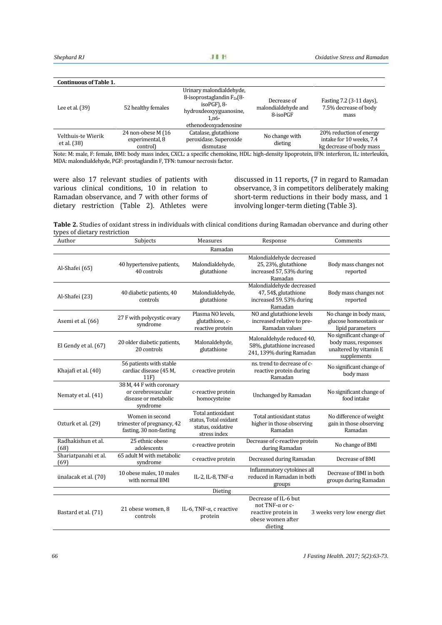| <b>Continuous of Table 1.</b>     |                                                   |                                                                                                                                            |                                                |                                                                                 |
|-----------------------------------|---------------------------------------------------|--------------------------------------------------------------------------------------------------------------------------------------------|------------------------------------------------|---------------------------------------------------------------------------------|
| Lee et al. $(39)$                 | 52 healthy females                                | Urinary malondialdehyde,<br>8-isoprostaglandin $F_{2a}$ (8-<br>$isoPGF$ ), $8-$<br>hydroxdeoxyyguanosine,<br>1.n6-<br>ethenodeoxyadenosine | Decrease of<br>malondialdehyde and<br>8-isoPGF | Fasting 7.2 (3-11 days),<br>7.5% decrease of body<br>mass                       |
| Velthuis-te Wierik<br>et al. (38) | 24 non-obese M (16<br>experimental, 8<br>control) | Catalase, glutathione<br>peroxidase. Superoxide<br>dismutase                                                                               | No change with<br>dieting                      | 20% reduction of energy<br>intake for 10 weeks, 7.4<br>kg decrease of body mass |

Note: M: male, F: female, BMI: body mass index, CXCL: a specific chemokine, HDL: high-density lipoprotein, IFN: interferon, IL: interleukin, MDA: malondialdehyde, PGF: prostaglandin F, TFN: tumour necrosis factor.

were also 17 relevant studies of patients with various clinical conditions, 10 in relation to Ramadan observance, and 7 with other forms of dietary restriction (Table 2). Athletes were

discussed in 11 reports, (7 in regard to Ramadan observance, 3 in competitors deliberately making short-term reductions in their body mass, and 1 involving longer-term dieting (Table 3).

**Table 2.** Studies of oxidant stress in individuals with clinical conditions during Ramadan obervance and during other types of dietary restriction

| Author                       | Subjects                                                                           | Measures                                                                        | Response                                                                                       | Comments                                                                                  |
|------------------------------|------------------------------------------------------------------------------------|---------------------------------------------------------------------------------|------------------------------------------------------------------------------------------------|-------------------------------------------------------------------------------------------|
|                              |                                                                                    | Ramadan                                                                         |                                                                                                |                                                                                           |
| Al-Shafei (65)               | 40 hypertensive patients,<br>40 controls                                           | Malondialdehyde,<br>glutathione                                                 | Malondialdehyde decreased<br>25, 23%, glutathione<br>increased 57, 53% during<br>Ramadan       | Body mass changes not<br>reported                                                         |
| Al-Shafei (23)               | 40 diabetic patients, 40<br>controls                                               | Malondialdehyde,<br>glutathione                                                 | Malondialdehyde decreased<br>47, 54\$, glutathione<br>increased 59.53% during<br>Ramadan       | Body mass changes not<br>reported                                                         |
| Asemi et al. (66)            | 27 F with polycystic ovary<br>syndrome                                             | Plasma NO levels,<br>glutathione, c-<br>reactive protein                        | NO and glutathione levels<br>increased relative to pre-<br>Ramadan values                      | No change in body mass,<br>glucose homeostasis or<br>lipid parameters                     |
| El Gendy et al. (67)         | 20 older diabetic patients,<br>20 controls                                         | Malonaldehyde,<br>glutathione                                                   | Malonaldehyde reduced 40,<br>58%, glutathione increased<br>241, 139% during Ramadan            | No significant change of<br>body mass, responses<br>unaltered by vitamin E<br>supplements |
| Khajafi et al. (40)          | 56 patients with stable<br>cardiac disease (45 M,<br>11F                           | c-reactive protein                                                              | ns. trend to decrease of c-<br>reactive protein during<br>Ramadan                              | No significant change of<br>body mass                                                     |
| Nematy et al. (41)           | 38 M, 44 F with coronary<br>or cerebrovascular<br>disease or metabolic<br>syndrome | c-reactive protein<br>homocysteine                                              | Unchanged by Ramadan                                                                           | No significant change of<br>food intake                                                   |
| Ozturk et al. (29)           | Women in second<br>trimester of pregnancy, 42<br>fasting, 30 non-fasting           | Total antioxidant<br>status, Total oxidant<br>status, oxidative<br>stress index | Total antioxidant status<br>higher in those observing<br>Ramadan                               | No difference of weight<br>gain in those observing<br>Ramadan                             |
| Radhakishun et al.<br>(68)   | 25 ethnic obese<br>adolescents                                                     | c-reactive protein                                                              | Decrease of c-reactive protein<br>during Ramadan                                               | No change of BMI                                                                          |
| Shariatpanahi et al.<br>(69) | 65 adult M with metabolic<br>syndrome                                              | c-reactive protein                                                              | Decreased during Ramadan                                                                       | Decrease of BMI                                                                           |
| ünalacak et al. (70)         | 10 obese males, 10 males<br>with normal BMI                                        | IL-2, IL-8, TNF- $\alpha$                                                       | Inflammatory cytokines all<br>reduced in Ramadan in both<br>groups                             | Decrease of BMI in both<br>groups during Ramadan                                          |
|                              |                                                                                    | Dieting                                                                         |                                                                                                |                                                                                           |
| Bastard et al. (71)          | 21 obese women, 8<br>controls                                                      | IL-6, TNF- $\alpha$ , c reactive<br>protein                                     | Decrease of IL-6 but<br>not TNF-α or c-<br>reactive protein in<br>obese women after<br>dieting | 3 weeks very low energy diet                                                              |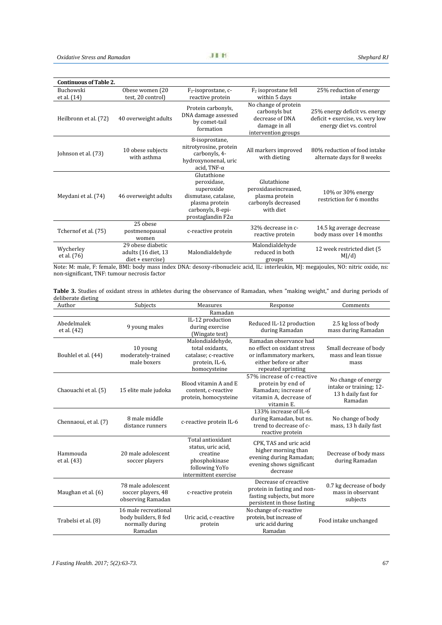| <b>Continuous of Table 2.</b> |                                                              |                                                                                                                                     |                                                                                                  |                                                                                              |  |
|-------------------------------|--------------------------------------------------------------|-------------------------------------------------------------------------------------------------------------------------------------|--------------------------------------------------------------------------------------------------|----------------------------------------------------------------------------------------------|--|
| Buchowski                     | Obese women (20                                              | $F_2$ -isoprostane, c-                                                                                                              | $F2$ isoprostane fell                                                                            | 25% reduction of energy                                                                      |  |
| et al. (14)                   | test, 20 control)                                            | reactive protein                                                                                                                    | within 5 days                                                                                    | intake                                                                                       |  |
| Heilbronn et al. (72)         | 40 overweight adults                                         | Protein carbonyls,<br>DNA damage assessed<br>by comet-tail<br>formation                                                             | No change of protein<br>carbonyls but<br>decrease of DNA<br>damage in all<br>intervention groups | 25% energy deficit vs. energy<br>deficit + exercise, vs. very low<br>energy diet vs. control |  |
| Johnson et al. (73)           | 10 obese subjects<br>with asthma                             | 8-isoprostane,<br>nitrotyrosine, protein<br>carbonyls, 4-<br>hydroxynonenal, uric<br>acid, TNF- $\alpha$                            | All markers improved<br>with dieting                                                             | 80% reduction of food intake<br>alternate days for 8 weeks                                   |  |
| Meydani et al. (74)           | 46 overweight adults                                         | Glutathione<br>peroxidase,<br>superoxide<br>dismutase, catalase,<br>plasma protein<br>carbonyls, 8-epi-<br>prostaglandin $F2\alpha$ | Glutathione<br>peroxidaseincreased,<br>plasma protein<br>carbonyls decreased<br>with diet        | 10% or 30% energy<br>restriction for 6 months                                                |  |
| Tchernof et al. (75)          | 25 obese<br>postmenopausal<br>women                          | c-reactive protein                                                                                                                  | 32% decrease in c-<br>reactive protein                                                           | 14.5 kg average decrease<br>body mass over 14 months                                         |  |
| Wycherley<br>et al. (76)      | 29 obese diabetic<br>adults (16 diet, 13<br>diet + exercise) | Malondialdehyde                                                                                                                     | Malondialdehyde<br>reduced in both<br>groups                                                     | 12 week restricted diet (5<br>MJ/d                                                           |  |

Note: M: male, F: female, BMI: body mass index DNA: desoxy-ribonucleic acid, IL: interleukin, MJ: megajoules, NO: nitric oxide, ns: non-significant, TNF: tumour necrosis factor

| Table 3. Studies of oxidant stress in athletes during the observance of Ramadan, when "making weight," and during periods of |  |
|------------------------------------------------------------------------------------------------------------------------------|--|
| deliberate dieting                                                                                                           |  |

| Author                     | Subjects                                                                   | Measures                                                                                                        | Response                                                                                                                          | Comments                                                                         |
|----------------------------|----------------------------------------------------------------------------|-----------------------------------------------------------------------------------------------------------------|-----------------------------------------------------------------------------------------------------------------------------------|----------------------------------------------------------------------------------|
|                            |                                                                            | Ramadan                                                                                                         |                                                                                                                                   |                                                                                  |
| Abedelmalek<br>et al. (42) | 9 young males                                                              | IL-12 production<br>during exercise<br>(Wingate test)                                                           | Reduced IL-12 production<br>during Ramadan                                                                                        | 2.5 kg loss of body<br>mass during Ramadan                                       |
| Bouhlel et al. (44)        | 10 young<br>moderately-trained<br>male boxers                              | Malondialdehyde,<br>total oxidants.<br>catalase; c-reactive<br>protein, IL-6,<br>homocysteine                   | Ramadan observance had<br>no effect on oxidant stress<br>or inflammatory markers,<br>either before or after<br>repeated sprinting | Small decrease of body<br>mass and lean tissue<br>mass                           |
| Chaouachi et al. (5)       | 15 elite male judoka                                                       | Blood vitamin A and E<br>content, c-reactive<br>protein, homocysteine                                           | 57% increase of c-reactive<br>protein by end of<br>Ramadan; increase of<br>vitamin A, decrease of<br>vitamin E.                   | No change of energy<br>intake or training; 12-<br>13 h daily fast for<br>Ramadan |
| Chennaoui, et al. (7)      | 8 male middle<br>distance runners                                          | c-reactive protein IL-6                                                                                         | 133% increase of IL-6<br>during Ramadan, but ns.<br>trend to decrease of c-<br>reactive protein                                   | No change of body<br>mass, 13 h daily fast                                       |
| Hammouda<br>et al. (43)    | 20 male adolescent<br>soccer players                                       | Total antioxidant<br>status, uric acid,<br>creatine<br>phosphokinase<br>following YoYo<br>intermittent exercise | CPK, TAS and uric acid<br>higher morning than<br>evening during Ramadan;<br>evening shows significant<br>decrease                 | Decrease of body mass<br>during Ramadan                                          |
| Maughan et al. (6)         | 78 male adolescent<br>soccer players, 48<br>observing Ramadan              | c-reactive protein                                                                                              | Decrease of creactive<br>protein in fasting and non-<br>fasting subjects, but more<br>persistent in those fasting                 | 0.7 kg decrease of body<br>mass in observant<br>subjects                         |
| Trabelsi et al. (8)        | 16 male recreational<br>body builders, 8 fed<br>normally during<br>Ramadan | Uric acid, c-reactive<br>protein                                                                                | No change of c-reactive<br>protein, but increase of<br>uric acid during<br>Ramadan                                                | Food intake unchanged                                                            |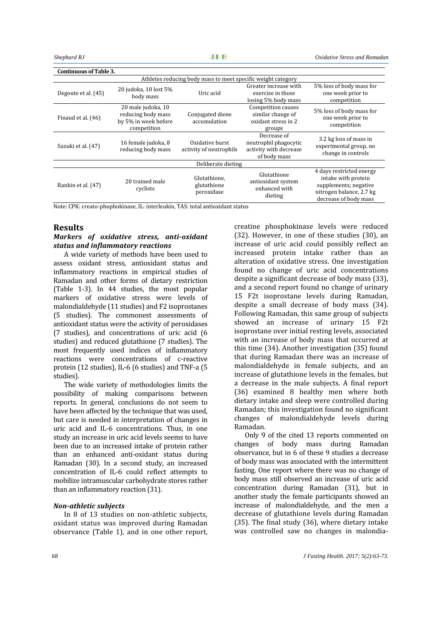| <b>Continuous of Table 3.</b>                                |                                                                                 |                                            |                                                                                |                                                                                                                               |  |
|--------------------------------------------------------------|---------------------------------------------------------------------------------|--------------------------------------------|--------------------------------------------------------------------------------|-------------------------------------------------------------------------------------------------------------------------------|--|
| Athletes reducing body mass to meet specific weight category |                                                                                 |                                            |                                                                                |                                                                                                                               |  |
| Degoute et al. (45)                                          | 20 judoka, 10 lost 5%<br>body mass                                              | Uric acid                                  | Greater increase with<br>exercise in those<br>losing 5% body mass              | 5% loss of body mass for<br>one week prior to<br>competition                                                                  |  |
| Finaud et al. (46)                                           | 20 male judoka, 10<br>reducing body mass<br>by 5% in week before<br>competition | Conjugated diene<br>accumulation           | Competition causes<br>similar change of<br>oxidant stress in 2<br>groups       | 5% loss of body mass for<br>one week prior to<br>competition                                                                  |  |
| Suzuki et al. (47)                                           | 16 female judoka, 8<br>reducing body mass                                       | Oxidative burst<br>activity of neutrophils | Decrease of<br>neutrophil phagocytic<br>activity with decrease<br>of body mass | 3.2 kg loss of mass in<br>experimental group, no<br>change in controls                                                        |  |
| Deliberate dieting                                           |                                                                                 |                                            |                                                                                |                                                                                                                               |  |
| Rankin et al. (47)                                           | 20 trained male<br>cyclists                                                     | Glutathione,<br>glutathione<br>peroxidase  | Glutathione<br>antioxidant system<br>enhanced with<br>dieting                  | 4 days restricted energy<br>intake with protein<br>supplements; negative<br>nitrogen balance, 2.7 kg<br>decrease of body mass |  |

Note: CPK: creato-phophokinase, IL: interleukin, TAS: total antioxidant status

## **Results**

# *Markers of oxidative stress, anti-oxidant status and inflammatory reactions*

A wide variety of methods have been used to assess oxidant stress, antioxidant status and inflammatory reactions in empirical studies of Ramadan and other forms of dietary restriction (Table 1-3). In 44 studies, the most popular markers of oxidative stress were levels of malondialdehyde (11 studies) and F2 isoprostanes (5 studies). The commonest assessments of antioxidant status were the activity of peroxidases (7 studies), and concentrations of uric acid (6 studies) and reduced glutathione (7 studies). The most frequently used indices of inflammatory reactions were concentrations of c-reactive protein (12 studies), IL-6 (6 studies) and TNF-a (5 studies).

The wide variety of methodologies limits the possibility of making comparisons between reports. In general, conclusions do not seem to have been affected by the technique that was used, but care is needed in interpretation of changes in uric acid and IL-6 concentrations. Thus, in one study an increase in uric acid levels seems to have been due to an increased intake of protein rather than an enhanced anti-oxidant status during Ramadan (30). In a second study, an increased concentration of IL-6 could reflect attempts to mobilize intramuscular carbohydrate stores rather than an inflammatory reaction (31).

#### *Non-athletic subjects*

In 8 of 13 studies on non-athletic subjects, oxidant status was improved during Ramadan observance (Table 1), and in one other report, creatine phosphokinase levels were reduced (32). However, in one of these studies (30), an increase of uric acid could possibly reflect an increased protein intake rather than an alteration of oxidative stress. One investigation found no change of uric acid concentrations despite a significant decrease of body mass (33), and a second report found no change of urinary 15 F2t isoprostane levels during Ramadan, despite a small decrease of body mass (34). Following Ramadan, this same group of subjects showed an increase of urinary 15 F2t isoprostane over initial resting levels, associated with an increase of body mass that occurred at this time (34). Another investigation (35) found that during Ramadan there was an increase of malondialdehyde in female subjects, and an increase of glutathione levels in the females, but a decrease in the male subjects. A final report (36) examined 8 healthy men where both dietary intake and sleep were controlled during Ramadan; this investigation found no significant changes of malondialdehyde levels during Ramadan.

Only 9 of the cited 13 reports commented on changes of body mass during Ramadan observance, but in 6 of these 9 studies a decrease of body mass was associated with the intermittent fasting. One report where there was no change of body mass still observed an increase of uric acid concentration during Ramadan (31), but in another study the female participants showed an increase of malondialdehyde, and the men a decrease of glutathione levels during Ramadan (35). The final study (36), where dietary intake was controlled saw no changes in malondia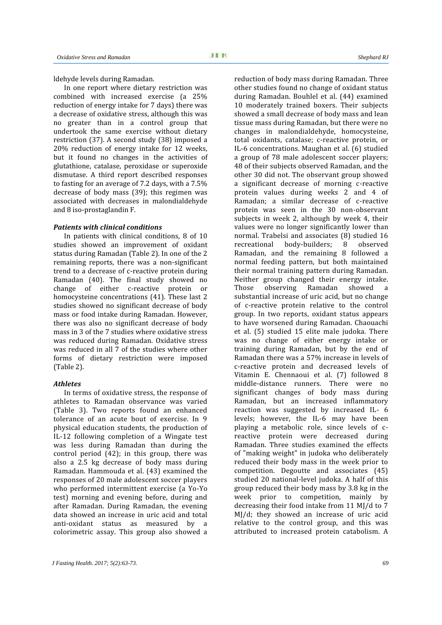ldehyde levels during Ramadan.

In one report where dietary restriction was combined with increased exercise (a 25% reduction of energy intake for 7 days) there was a decrease of oxidative stress, although this was no greater than in a control group that undertook the same exercise without dietary restriction (37). A second study (38) imposed a 20% reduction of energy intake for 12 weeks, but it found no changes in the activities of glutathione, catalase, peroxidase or superoxide dismutase. A third report described responses to fasting for an average of 7.2 days, with a 7.5% decrease of body mass (39); this regimen was associated with decreases in malondialdehyde and 8 iso-prostaglandin F.

### *Patients with clinical conditions*

In patients with clinical conditions, 8 of 10 mormal. Trab<br>dies showed an improvement of oxidant recreational studies showed an improvement of oxidant status during Ramadan (Table 2). In one of the 2 remaining reports, there was a non-significant trend to a decrease of c-reactive protein during Ramadan (40). The final study showed no Meithe change of either c-reactive protein or Those change of either c-reactive protein homocysteine concentrations (41). These last 2 studies showed no significant decrease of body mass or food intake during Ramadan. However, there was also no significant decrease of body mass in 3 of the 7 studies where oxidative stress was reduced during Ramadan. Oxidative stress was reduced in all 7 of the studies where other forms of dietary restriction were imposed (Table 2).

#### *Athletes*

In terms of oxidative stress, the response of athletes to Ramadan observance was varied (Table 3). Two reports found an enhanced tolerance of an acute bout of exercise. In 9 physical education students, the production of IL-12 following completion of a Wingate test was less during Ramadan than during the control period (42); in this group, there was also a 2.5 kg decrease of body mass during Ramadan. Hammouda et al. (43) examined the responses of 20 male adolescent soccer players who performed intermittent exercise (a Yo-Yo test) morning and evening before, during and after Ramadan. During Ramadan, the evening data showed an increase in uric acid and total anti-oxidant status as measured by a colorimetric assay. This group also showed a

reduction of body mass during Ramadan. Three other studies found no change of oxidant status during Ramadan. Bouhlel et al. (44) examined 10 moderately trained boxers. Their subjects showed a small decrease of body mass and lean tissue mass during Ramadan, but there were no changes in malondialdehyde, homocysteine, total oxidants, catalase; c-reactive protein, or IL-6 concentrations. Maughan et al. (6) studied a group of 78 male adolescent soccer players; 48 of their subjects observed Ramadan, and the other 30 did not. The observant group showed a significant decrease of morning c-reactive protein values during weeks 2 and 4 of Ramadan; a similar decrease of c-reactive protein was seen in the 30 non-observant subjects in week 2, although by week 4, their values were no longer significantly lower than normal. Trabelsi and associates (8) studied 16<br>recreational body-builders: 8 observed recreational body-builders; 8 observed Ramadan, and the remaining 8 followed a normal feeding pattern, but both maintained their normal training pattern during Ramadan. Neither group changed their energy intake.<br>Those observing Ramadan showed a Those observing Ramadan showed a substantial increase of uric acid, but no change of c-reactive protein relative to the control group. In two reports, oxidant status appears to have worsened during Ramadan. Chaouachi et al. (5) studied 15 elite male judoka. There was no change of either energy intake or training during Ramadan, but by the end of Ramadan there was a 57% increase in levels of c-reactive protein and decreased levels of Vitamin E. Chennaoui et al. (7) followed 8 middle-distance runners. There were no significant changes of body mass during Ramadan, but an increased inflammatory reaction was suggested by increased IL- 6 levels; however, the IL-6 may have been playing a metabolic role, since levels of c reactive protein were decreased during Ramadan. Three studies examined the effects of "making weight" in judoka who deliberately reduced their body mass in the week prior to competition. Degoutte and associates (45) studied 20 national-level judoka. A half of this group reduced their body mass by 3.8 kg in the week prior to competition, mainly by decreasing their food intake from 11 MJ/d to 7 MJ/d; they showed an increase of uric acid relative to the control group, and this was attributed to increased protein catabolism. A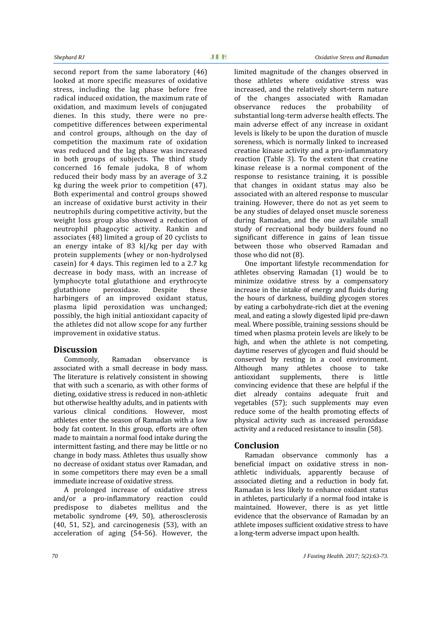second report from the same laboratory (46) looked at more specific measures of oxidative stress, including the lag phase before free radical induced oxidation, the maximum rate of oxidation, and maximum levels of conjugated dienes. In this study, there were no pre competitive differences between experimental and control groups, although on the day of competition the maximum rate of oxidation was reduced and the lag phase was increased in both groups of subjects. The third study concerned 16 female judoka, 8 of whom reduced their body mass by an average of 3.2 kg during the week prior to competition (47). Both experimental and control groups showed an increase of oxidative burst activity in their neutrophils during competitive activity, but the weight loss group also showed a reduction of neutrophil phagocytic activity. Rankin and associates (48) limited a group of 20 cyclists to an energy intake of 83 kJ/kg per day with protein supplements (whey or non-hydrolysed casein) for 4 days. This regimen led to a 2.7 kg decrease in body mass, with an increase of lymphocyte total glutathione and erythrocyte glutathione peroxidase. Despite these harbingers of an improved oxidant status, plasma lipid peroxidation was unchanged; possibly, the high initial antioxidant capacity of the athletes did not allow scope for any further improvement in oxidative status.

# **Discussion**

Commonly, Ramadan observance is associated with a small decrease in body mass. The literature is relatively consistent in showing that with such a scenario, as with other forms of dieting, oxidative stress is reduced in non-athletic but otherwise healthy adults, and in patients with various clinical conditions. However, most athletes enter the season of Ramadan with a low body fat content. In this group, efforts are often made to maintain a normal food intake during the intermittent fasting, and there may be little or no change in body mass. Athletes thus usually show no decrease of oxidant status over Ramadan, and in some competitors there may even be a small immediate increase of oxidative stress.

A prolonged increase of oxidative stress and/or a pro-inflammatory reaction could predispose to diabetes mellitus and the metabolic syndrome (49, 50), atherosclerosis (40, 51, 52), and carcinogenesis (53), with an acceleration of aging (54-56). However, the

limited magnitude of the changes observed in those athletes where oxidative stress was increased, and the relatively short-term nature of the changes associated with Ramadan<br>observance reduces the probability of observance reduces the probability substantial long-term adverse health effects. The main adverse effect of any increase in oxidant levels is likely to be upon the duration of muscle soreness, which is normally linked to increased creatine kinase activity and a pro-inflammatory reaction (Table 3). To the extent that creatine kinase release is a normal component of the response to resistance training, it is possible that changes in oxidant status may also be associated with an altered response to muscular training. However, there do not as yet seem to be any studies of delayed onset muscle soreness during Ramadan, and the one available small study of recreational body builders found no significant difference in gains of lean tissue between those who observed Ramadan and those who did not (8).

One important lifestyle recommendation for athletes observing Ramadan (1) would be to minimize oxidative stress by a compensatory increase in the intake of energy and fluids during the hours of darkness, building glycogen stores by eating a carbohydrate-rich diet at the evening meal, and eating a slowly digested lipid pre-dawn meal. Where possible, training sessions should be timed when plasma protein levels are likely to be high, and when the athlete is not competing, daytime reserves of glycogen and fluid should be conserved by resting in a cool environment.<br>Although many athletes choose to take Although many athletes choose to take<br>antioxidant supplements, there is little supplements, convincing evidence that these are helpful if the diet already contains adequate fruit and vegetables (57); such supplements may even reduce some of the health promoting effects of physical activity such as increased peroxidase activity and a reduced resistance to insulin (58).

# **Conclusion**

Ramadan observance commonly has a beneficial impact on oxidative stress in non athletic individuals, apparently because of associated dieting and a reduction in body fat. Ramadan is less likely to enhance oxidant status in athletes, particularly if a normal food intake is maintained. However, there is as yet little evidence that the observance of Ramadan by an athlete imposes sufficient oxidative stress to have a long-term adverse impact upon health.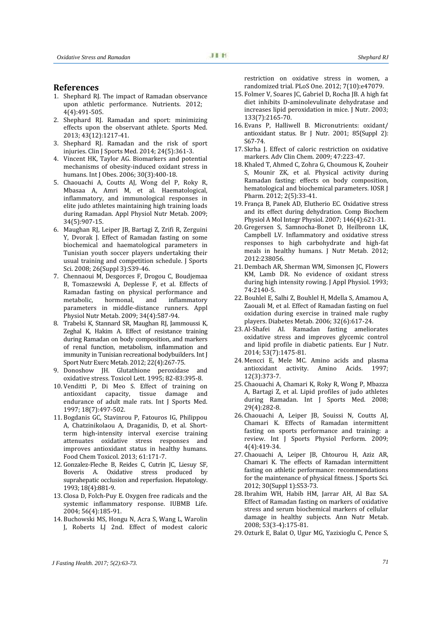# **References**

- 1. Shephard RJ. The impact of Ramadan observance upon athletic performance. Nutrients. 2012; 4(4):491-505.
- 2. Shephard RJ. Ramadan and sport: minimizing effects upon the observant athlete. Sports Med. 2013; 43(12):1217-41.
- 3. Shephard RJ. Ramadan and the risk of sport injuries. Clin J Sports Med. 2014; 24(5):361-3.
- 4. Vincent HK, Taylor AG. Biomarkers and potential mechanisms of obesity-induced oxidant stress in humans. Int J Obes. 2006; 30(3):400-18.
- 5. Chaouachi A, Coutts AJ, Wong del P, Roky R, Mbasaa A, Amri M, et al. Haematological, inflammatory, and immunological responses in elite judo athletes maintaining high training loads during Ramadan. Appl Physiol Nutr Metab. 2009; 34(5):907-15.
- 6. Maughan RJ, Leiper JB, Bartagi Z, Zrifi R, Zerguini Y, Dvorak J. Effect of Ramadan fasting on some biochemical and haematological parameters in Tunisian youth soccer players undertaking their usual training and competition schedule. J Sports Sci. 2008; 26(Suppl 3):S39-46.
- 7. Chennaoui M, Desgorces F, Drogou C, Boudjemaa B, Tomaszewski A, Deplesse F, et al. Effects of Ramadan fasting on physical performance and<br>metabolic, hormonal, and inflammatory inflammatory parameters in middle-distance runners. Appl Physiol Nutr Metab. 2009; 34(4):587-94.
- 8. Trabelsi K, Stannard SR, Maughan RJ, Jammoussi K, Zeghal K, Hakim A. Effect of resistance training during Ramadan on body composition, and markers of renal function, metabolism, inflammation and immunity in Tunisian recreational bodybuilders. Int J Sport Nutr Exerc Metab. 2012; 22(4):267-75.<br>Donoshow JH. Glutathione peroxidase and
- 9. Donoshow JH. Glutathione peroxidase oxidative stress. Toxicol Lett. 1995; 82-83:395-8.
- 10. Venditti P, Di Meo S. Effect of training on antioxidant capacity, tissue damage and endurance of adult male rats. Int J Sports Med. 1997; 18(7):497-502.
- 11. Bogdanis GC, Stavinrou P, Fatouros IG, Philippou A, Chatzinikolaou A, Draganidis, D, et al. Short term high-intensity interval exercise training attenuates oxidative stress responses and improves antioxidant status in healthy humans. Food Chem Toxicol. 2013; 61:171-7.
- 12. Gonzalez-Fleche B, Reides C, Cutrin JC, Liesuy SF, Boveris A. Oxidative stress produced by suprahepatic occlusion and reperfusion. Hepatology. 1993; 18(4):881-9.
- 13. Closa D, Folch-Puy E. Oxygen free radicals and the systemic inflammatory response. IUBMB Life. 2004; 56(4):185-91.
- 14. Buchowski MS, Hongu N, Acra S, Wang L, Warolin J, Roberts LJ 2nd. Effect of modest caloric

restriction on oxidative stress in women, a randomized trial. PLoS One. 2012; 7(10):e47079.

- 15. Folmer V, Soares JC, Gabriel D, Rocha JB. A high fat diet inhibits D-aminolevulinate dehydratase and increases lipid peroxidation in mice. J Nutr. 2003; 133(7):2165-70.
- 16. Evans P, Halliwell B. Micronutrients: oxidant/ antioxidant status. Br J Nutr. 2001; 85(Suppl 2): S67-74.
- 17. Skrha J. Effect of caloric restriction on oxidative markers. Adv Clin Chem. 2009; 47:223-47.
- 18. Khaled T, Ahmed C, Zohra G, Choumous K, Zouheir S, Mounir ZK, et al. Physical activity during Ramadan fasting: effects on body composition, hematological and biochemical parameters. IOSR J Pharm. 2012; 2(5):33-41.
- 19. França B, Panek AD, Elutherio EC. Oxidative stress and its effect during dehydration. Comp Biochem Physiol A Mol Integr Physiol. 2007; 146(4):621-31.
- 20. Gregersen S, Samnocha-Bonet D, Heilbronn LK, Campbell LV. Inflammatory and oxidative stress responses to high carbohydrate and high-fat meals in healthy humans. J Nutr Metab. 2012; 2012:238056.
- 21. Dembach AR, Sherman WM, Simonsen JC, Flowers KM, Lamb DR. No evidence of oxidant stress during high intensity rowing. J Appl Physiol. 1993; 74:2140-5.
- 22. Bouhlel E, Salhi Z, Bouhlel H, Mdella S, Amamou A, Zaouali M, et al. Effect of Ramadan fasting on fuel oxidation during exercise in trained male rugby players. Diabetes Metab. 2006; 32(6):617-24.
- 23. Al-Shafei AI. Ramadan fasting ameliorates oxidative stress and improves glycemic control and lipid profile in diabetic patients. Eur J Nutr. 2014; 53(7):1475-81.
- 24. Mencci E, Mele MC. Amino acids and plasma antioxidant activity. Amino 12(3):373-7.
- 25. Chaouachi A, Chamari K, Roky R, Wong P, Mbazza A, Bartagi Z, et al. Lipid profiles of judo athletes during Ramadan. Int J Sports Med. 2008; 29(4):282-8.
- 26. Chaouachi A, Leiper JB, Souissi N, Coutts AJ, Chamari K. Effects of Ramadan intermittent fasting on sports performance and training: a review. Int J Sports Physiol Perform. 2009;  $4(4):419-34.$
- 27. Chaouachi A, Leiper JB, Chtourou H, Aziz AR, Chamari K. The effects of Ramadan intermittent fasting on athletic performance: recommendations for the maintenance of physical fitness. J Sports Sci. 2012; 30(Suppl 1):S53-73.
- 28. Ibrahim WH, Habib HM, Jarrar AH, Al Baz SA. Effect of Ramadan fasting on markers of oxidative stress and serum biochemical markers of cellular damage in healthy subjects. Ann Nutr Metab. 2008; 53(3-4):175-81.
- 29. Ozturk E, Balat O, Ugur MG, Yazixioglu C, Pence S,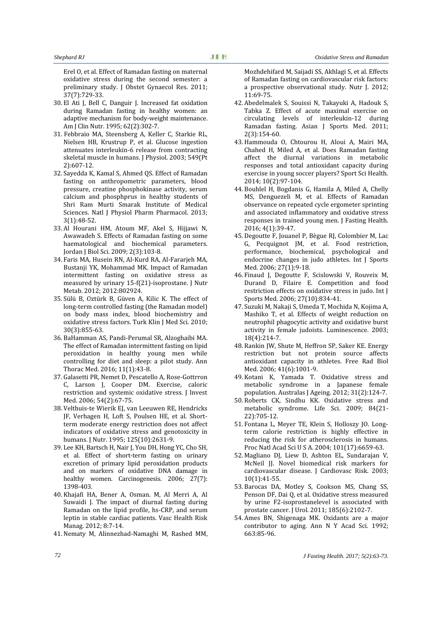Erel O, et al. Effect of Ramadan fasting on maternal oxidative stress during the second semester: a preliminary study. J Obstet Gynaecol Res. 2011; 37(7):729-33.

- 30. El Ati J, Bell C, Danguir J. Increased fat oxidation during Ramadan fasting in healthy women: an adaptive mechanism for body-weight maintenance. Am J Clin Nutr. 1995; 62(2):302-7.
- 31. Febbraio MA, Steensberg A, Keller C, Starkie RL, Nielsen HB, Krustrup P, et al. Glucose ingestion attenuates interleukin-6 release from contracting skeletal muscle in humans. J Physiol. 2003; 549(Pt 2):607-12.
- 32. Sayedda K, Kamal S, Ahmed QS. Effect of Ramadan fasting on anthropometric parameters, blood pressure, creatine phosphokinase activity, serum calcium and phosphprus in healthy students of Shri Ram Murti Smarak Institute of Medical Sciences. Natl J Physiol Pharm Pharmacol. 2013; 3(1):48-52.
- 33. Al Hourani HM, Atoum MF, Akel S, Hijjawi N, Awawadeh S. Effects of Ramadan fasting on some haematological and biochemical parameters. Jordan J Biol Sci. 2009; 2(3):103-8.
- 34. Faris MA, Husein RN, Al-Kurd RA, Al-Fararjeh MA, Bustanji YK, Mohammad MK. Impact of Ramadan intermittent fasting on oxidative stress as measured by urinary 15-f(21)-isoprostane. J Nutr Metab. 2012; 2012:802924.
- 35. Sülü B, Oztürk B, Güven A, Kilic K. The effect of long-term controlled fasting (the Ramadan model) on body mass index, blood biochemistry and oxidative stress factors. Turk Klin J Med Sci. 2010; 30(3):855-63.
- 36. BaHamman AS, Pandi-Perumal SR, Alzoghaibi MA. The effect of Ramadan intermittent fasting on lipid peroxidation in healthy young men while controlling for diet and sleep: a pilot study. Ann Thorac Med. 2016; 11(1):43-8.
- 37. Galasetti PR, Nemet D, Pescatello A, Rose-Gottrron C, Larson J, Cooper DM. Exercise, caloric restriction and systemic oxidative stress. J Invest Med. 2006; 54(2):67-75.
- 38. Velthuis-te Wierik EJ, van Leeuwen RE, Hendricks JF, Verhagen H, Loft S, Poulsen HE, et al. Short term moderate energy restriction does not affect indicators of oxidative stress and genotoxicity in humans. J Nutr. 1995; 125(10):2631-9.
- 39. Lee KH, Bartsch H, Nair J, You DH, Hong YC, Cho SH, et al. Effect of short-term fasting on urinary excretion of primary lipid peroxidation products and on markers of oxidative DNA damage in healthy women. Carcinogenesis. 2006; 27(7): 1398-403.
- 40. Khajafi HA, Bener A, Osman. M, Al Merri A, Al Suwaidi J. The impact of diurnal fasting during Ramadan on the lipid profile, hs-CRP, and serum leptin in stable cardiac patients. Vasc Health Risk Manag. 2012; 8:7-14.
- 41. Nematy M, Alinnezhad-Namaghi M, Rashed MM,

*Shephard RJ Oxidative Stress and Ramadan*

Mozhdehifard M, Saijadi SS, Akhlagi S, et al. Effects of Ramadan fasting on cardiovascular risk factors: a prospective observational study. Nutr J. 2012; 11:69-75.

- 42. Abedelmalek S, Souissi N, Takayuki A, Hadouk S, Tabka Z. Effect of acute maximal exercise on circulating levels of interleukin-12 during Ramadan fasting. Asian J Sports Med. 2011; 2(3):154-60.
- 43. Hammouda O, Chtourou H, Aloui A, Mairi MA, Chahed H, Miled A, et al. Does Ramadan fasting affect the diurnal variations in metabolic responses and total antioxidant capacity during exercise in young soccer players? Sport Sci Health. 2014; 10(2):97-104.
- 44. Bouhlel H, Bogdanis G, Hamila A, Miled A, Chelly MS, Denguezeli M, et al. Effects of Ramadan observance on repeated cycle ergometer sprinting and associated inflammatory and oxidative stress responses in trained young men. J Fasting Health. 2016; 4(1):39-47.
- 45. Degoutte F, Jouanel P, Bègue RJ, Colombier M, Lac G, Pecquignot JM, et al. Food restriction, performance, biochemical, psychological and endocrine changes in judo athletes. Int J Sports Med. 2006; 27(1):9-18.
- 46. Finaud J, Degoutte F, Scislowski V, Rouveix M, Durand D, Filaire E. Competition and food restriction effects on oxidative stress in judo. Int J Sports Med. 2006; 27(10):834-41.
- 47. Suzuki M, Nakaji S, Umeda T, Mochida N, Kojima A, Mashiko T, et al. Effects of weight reduction on neutrophil phagocytic activity and oxidative burst activity in female judoists. Luminescence. 2003; 18(4):214-7.
- 48. Rankin JW, Shute M, Heffron SP, Saker KE. Energy restriction but not protein source affects antioxidant capacity in athletes. Free Rad Biol Med. 2006; 41(6):1001-9.
- 49. Kotani K, Yamada T. Oxidative stress and metabolic syndrome in a Japanese female population. Australas J Ageing. 2012; 31(2):124-7.
- 50. Roberts CK, Sindhu KK. Oxidative stress and metabolic syndrome. Life Sci. 2009; 84(21- 22):705-12.
- 51. Fontana L, Meyer TE, Klein S, Holloszy JO. Long term calorie restriction is highly effective in reducing the risk for atherosclerosis in humans. Proc Natl Acad Sci U S A. 2004; 101(17):6659-63.
- 52. Magliano DJ, Liew D, Ashton EL, Sundarajan V, McNeil II. Novel biomedical risk markers for cardiovascular disease. J Cardiovasc Risk. 2003; 10(1):41-55.
- 53. Barocas DA, Motley S, Cookson MS, Chang SS, Penson DF, Dai Q, et al. Oxidative stress measured by urine F2-isoprostanelevel is associated with prostate cancer. J Urol. 2011; 185(6):2102-7.
- 54. Ames BN, Shigenaga MK. Oxidants are a major contributor to aging. Ann N Y Acad Sci. 1992; 663:85-96.

*70 J Fasting Health. 2017; 5(2):63-73.*